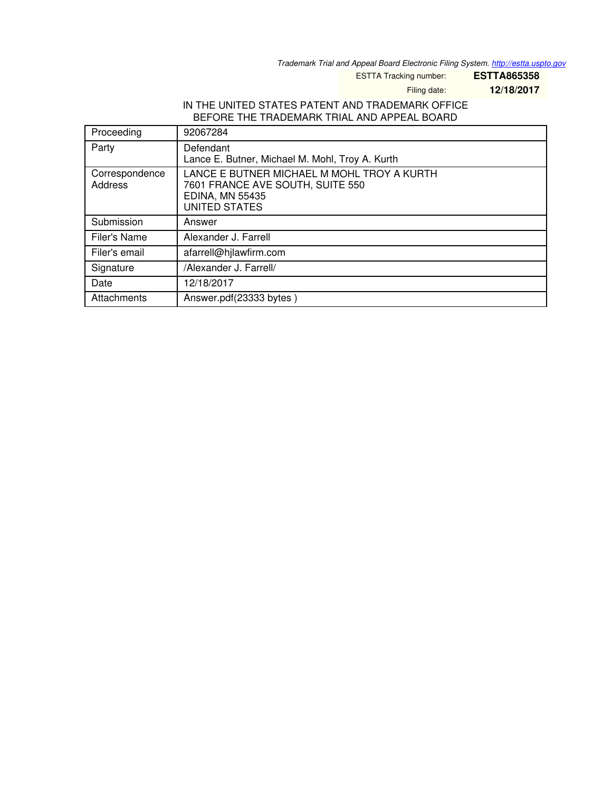*Trademark Trial and Appeal Board Electronic Filing System. <http://estta.uspto.gov>*

ESTTA Tracking number: **ESTTA865358**

Filing date: **12/18/2017**

## IN THE UNITED STATES PATENT AND TRADEMARK OFFICE BEFORE THE TRADEMARK TRIAL AND APPEAL BOARD

| Proceeding                       | 92067284                                                                                                                         |
|----------------------------------|----------------------------------------------------------------------------------------------------------------------------------|
| Party                            | Defendant<br>Lance E. Butner, Michael M. Mohl, Troy A. Kurth                                                                     |
| Correspondence<br><b>Address</b> | LANCE E BUTNER MICHAEL M MOHL TROY A KURTH<br>7601 FRANCE AVE SOUTH, SUITE 550<br><b>EDINA, MN 55435</b><br><b>UNITED STATES</b> |
| Submission                       | Answer                                                                                                                           |
| Filer's Name                     | Alexander J. Farrell                                                                                                             |
| Filer's email                    | afarrell@hjlawfirm.com                                                                                                           |
| Signature                        | /Alexander J. Farrell/                                                                                                           |
| Date                             | 12/18/2017                                                                                                                       |
| Attachments                      | Answer.pdf(23333 bytes)                                                                                                          |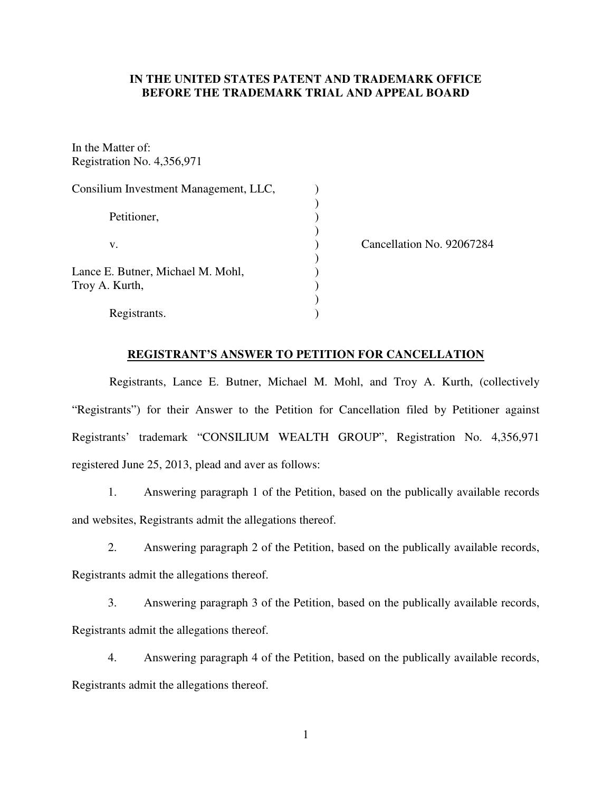## **IN THE UNITED STATES PATENT AND TRADEMARK OFFICE BEFORE THE TRADEMARK TRIAL AND APPEAL BOARD**

In the Matter of: Registration No. 4,356,971

| Consilium Investment Management, LLC, |            |
|---------------------------------------|------------|
|                                       |            |
| Petitioner,                           |            |
|                                       |            |
| v.                                    | Cancellati |
|                                       |            |
| Lance E. Butner, Michael M. Mohl,     |            |
| Troy A. Kurth,                        |            |
|                                       |            |
| Registrants.                          |            |

ion No. 92067284

#### **REGISTRANT'S ANSWER TO PETITION FOR CANCELLATION**

Registrants, Lance E. Butner, Michael M. Mohl, and Troy A. Kurth, (collectively "Registrants") for their Answer to the Petition for Cancellation filed by Petitioner against Registrants' trademark "CONSILIUM WEALTH GROUP", Registration No. 4,356,971 registered June 25, 2013, plead and aver as follows:

1. Answering paragraph 1 of the Petition, based on the publically available records and websites, Registrants admit the allegations thereof.

2. Answering paragraph 2 of the Petition, based on the publically available records, Registrants admit the allegations thereof.

3. Answering paragraph 3 of the Petition, based on the publically available records, Registrants admit the allegations thereof.

4. Answering paragraph 4 of the Petition, based on the publically available records, Registrants admit the allegations thereof.

1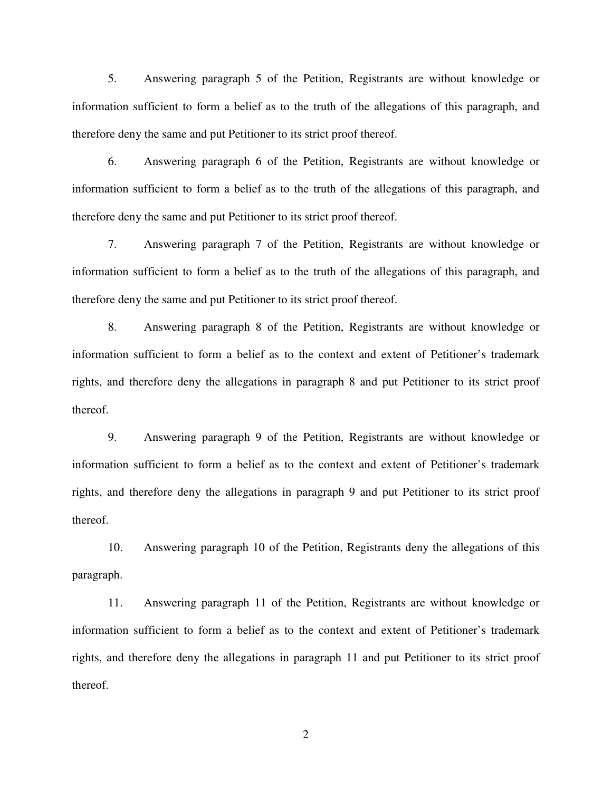5. Answering paragraph 5 of the Petition, Registrants are without knowledge or information sufficient to form a belief as to the truth of the allegations of this paragraph, and therefore deny the same and put Petitioner to its strict proof thereof.

6. Answering paragraph 6 of the Petition, Registrants are without knowledge or information sufficient to form a belief as to the truth of the allegations of this paragraph, and therefore deny the same and put Petitioner to its strict proof thereof.

7. Answering paragraph 7 of the Petition, Registrants are without knowledge or information sufficient to form a belief as to the truth of the allegations of this paragraph, and therefore deny the same and put Petitioner to its strict proof thereof.

8. Answering paragraph 8 of the Petition, Registrants are without knowledge or information sufficient to form a belief as to the context and extent of Petitioner's trademark rights, and therefore deny the allegations in paragraph 8 and put Petitioner to its strict proof thereof.

9. Answering paragraph 9 of the Petition, Registrants are without knowledge or information sufficient to form a belief as to the context and extent of Petitioner's trademark rights, and therefore deny the allegations in paragraph 9 and put Petitioner to its strict proof thereof.

10. Answering paragraph 10 of the Petition, Registrants deny the allegations of this paragraph.

11. Answering paragraph 11 of the Petition, Registrants are without knowledge or information sufficient to form a belief as to the context and extent of Petitioner's trademark rights, and therefore deny the allegations in paragraph 11 and put Petitioner to its strict proof thereof.

2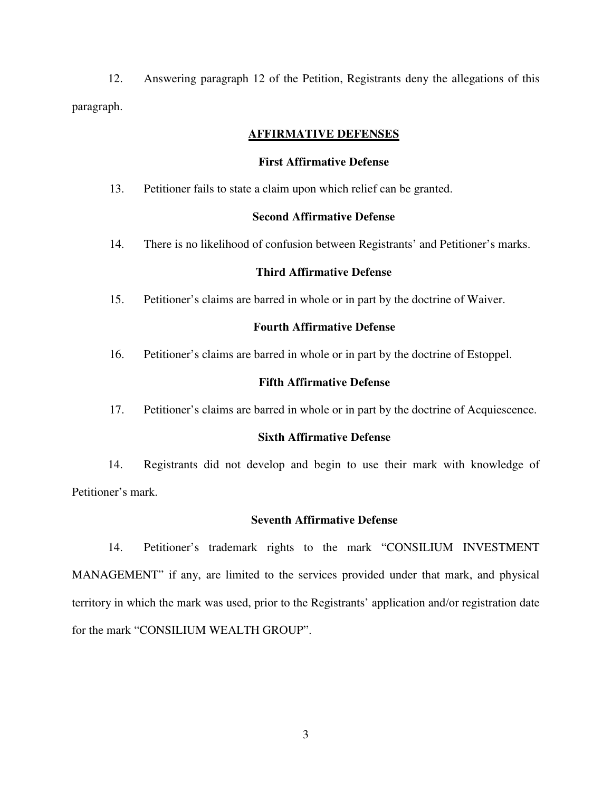12. Answering paragraph 12 of the Petition, Registrants deny the allegations of this paragraph.

## **AFFIRMATIVE DEFENSES**

#### **First Affirmative Defense**

13. Petitioner fails to state a claim upon which relief can be granted.

#### **Second Affirmative Defense**

14. There is no likelihood of confusion between Registrants' and Petitioner's marks.

## **Third Affirmative Defense**

15. Petitioner's claims are barred in whole or in part by the doctrine of Waiver.

## **Fourth Affirmative Defense**

16. Petitioner's claims are barred in whole or in part by the doctrine of Estoppel.

#### **Fifth Affirmative Defense**

17. Petitioner's claims are barred in whole or in part by the doctrine of Acquiescence.

## **Sixth Affirmative Defense**

14. Registrants did not develop and begin to use their mark with knowledge of Petitioner's mark.

#### **Seventh Affirmative Defense**

14. Petitioner's trademark rights to the mark "CONSILIUM INVESTMENT MANAGEMENT" if any, are limited to the services provided under that mark, and physical territory in which the mark was used, prior to the Registrants' application and/or registration date for the mark "CONSILIUM WEALTH GROUP".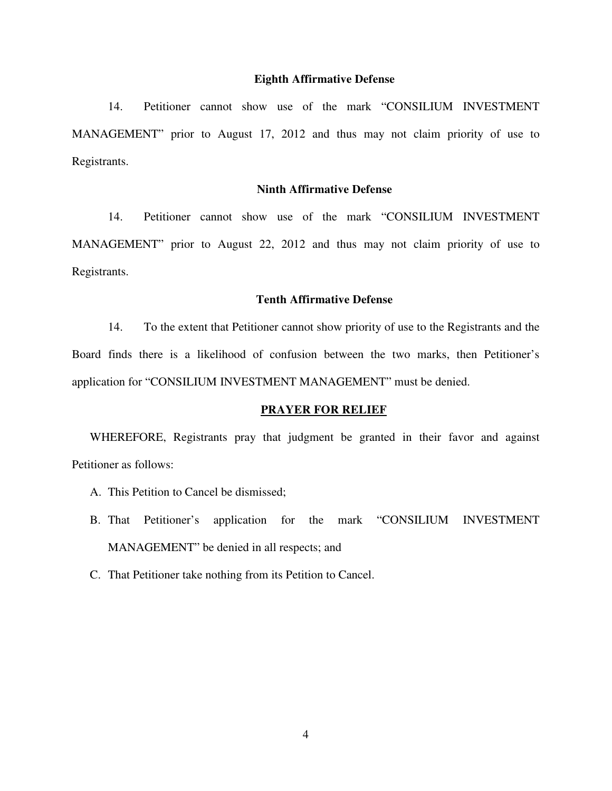#### **Eighth Affirmative Defense**

14. Petitioner cannot show use of the mark "CONSILIUM INVESTMENT MANAGEMENT" prior to August 17, 2012 and thus may not claim priority of use to Registrants.

## **Ninth Affirmative Defense**

14. Petitioner cannot show use of the mark "CONSILIUM INVESTMENT MANAGEMENT" prior to August 22, 2012 and thus may not claim priority of use to Registrants.

### **Tenth Affirmative Defense**

14. To the extent that Petitioner cannot show priority of use to the Registrants and the Board finds there is a likelihood of confusion between the two marks, then Petitioner's application for "CONSILIUM INVESTMENT MANAGEMENT" must be denied.

#### **PRAYER FOR RELIEF**

WHEREFORE, Registrants pray that judgment be granted in their favor and against Petitioner as follows:

- A. This Petition to Cancel be dismissed;
- B. That Petitioner's application for the mark "CONSILIUM INVESTMENT MANAGEMENT" be denied in all respects; and
- C. That Petitioner take nothing from its Petition to Cancel.

4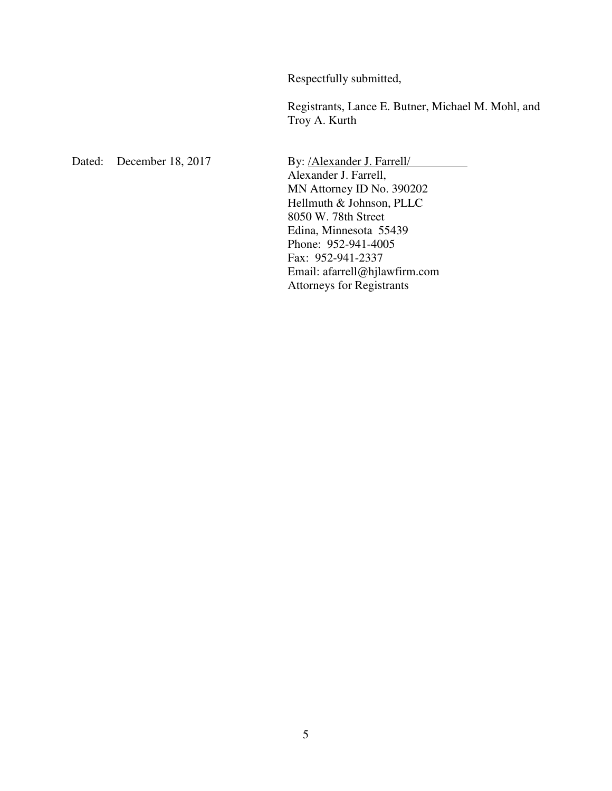Respectfully submitted,

Registrants, Lance E. Butner, Michael M. Mohl, and Troy A. Kurth

Dated: December 18, 2017 By: /Alexander J. Farrell/

Alexander J. Farrell, MN Attorney ID No. 390202 Hellmuth & Johnson, PLLC 8050 W. 78th Street Edina, Minnesota 55439 Phone: 952-941-4005 Fax: 952-941-2337 Email: afarrell@hjlawfirm.com Attorneys for Registrants